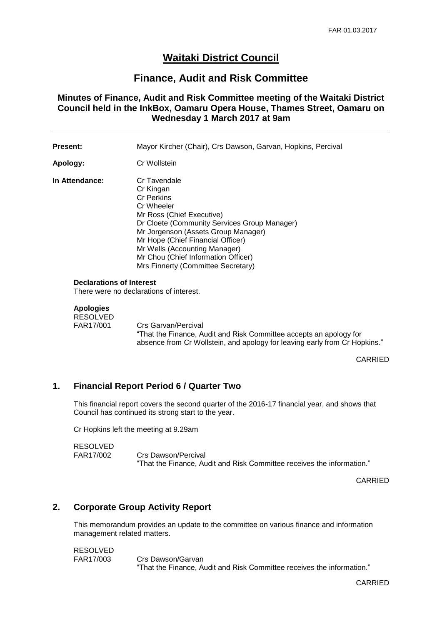# **Waitaki District Council**

# **Finance, Audit and Risk Committee**

**Minutes of Finance, Audit and Risk Committee meeting of the Waitaki District Council held in the InkBox, Oamaru Opera House, Thames Street, Oamaru on Wednesday 1 March 2017 at 9am**

| <b>Present:</b> | Mayor Kircher (Chair), Crs Dawson, Garvan, Hopkins, Percival                                                                                                                                                                                                                                                                        |
|-----------------|-------------------------------------------------------------------------------------------------------------------------------------------------------------------------------------------------------------------------------------------------------------------------------------------------------------------------------------|
| Apology:        | Cr Wollstein                                                                                                                                                                                                                                                                                                                        |
| In Attendance:  | Cr Tavendale<br>Cr Kingan<br><b>Cr Perkins</b><br>Cr Wheeler<br>Mr Ross (Chief Executive)<br>Dr Cloete (Community Services Group Manager)<br>Mr Jorgenson (Assets Group Manager)<br>Mr Hope (Chief Financial Officer)<br>Mr Wells (Accounting Manager)<br>Mr Chou (Chief Information Officer)<br>Mrs Finnerty (Committee Secretary) |

#### **Declarations of Interest**

There were no declarations of interest.

## **Apologies**

RESOLVED<br>FAR17/001 Crs Garvan/Percival "That the Finance, Audit and Risk Committee accepts an apology for

absence from Cr Wollstein, and apology for leaving early from Cr Hopkins."

CARRIED

### **1. Financial Report Period 6 / Quarter Two**

This financial report covers the second quarter of the 2016-17 financial year, and shows that Council has continued its strong start to the year.

Cr Hopkins left the meeting at 9.29am

RESOLVED FAR17/002 Crs Dawson/Percival "That the Finance, Audit and Risk Committee receives the information."

CARRIED

#### **2. Corporate Group Activity Report**

This memorandum provides an update to the committee on various finance and information management related matters.

RESOLVED

FAR17/003 Crs Dawson/Garvan "That the Finance, Audit and Risk Committee receives the information."